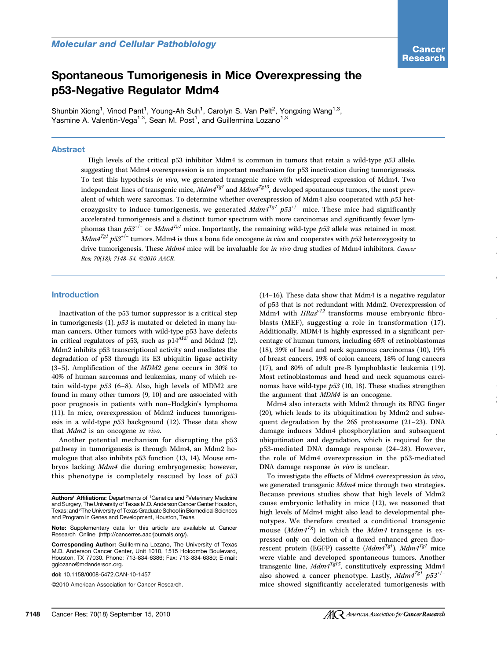# Spontaneous Tumorigenesis in Mice Overexpressing the p53-Negative Regulator Mdm4

Shunbin Xiong<sup>1</sup>, Vinod Pant<sup>1</sup>, Young-Ah Suh<sup>1</sup>, Carolyn S. Van Pelt<sup>2</sup>, Yongxing Wang<sup>1,3</sup>, Yasmine A. Valentin-Vega<sup>1,3</sup>, Sean M. Post<sup>1</sup>, and Guillermina Lozano<sup>1,3</sup>

## Abstract

High levels of the critical p53 inhibitor Mdm4 is common in tumors that retain a wild-type  $p53$  allele, suggesting that Mdm4 overexpression is an important mechanism for p53 inactivation during tumorigenesis. To test this hypothesis in vivo, we generated transgenic mice with widespread expression of Mdm4. Two independent lines of transgenic mice,  $Mdm4^{Tgl}$  and  $Mdm4^{Tgl5}$ , developed spontaneous tumors, the most prevalent of which were sarcomas. To determine whether overexpression of Mdm4 also cooperated with p53 heterozygosity to induce tumorigenesis, we generated  $Mdm4^{Tg1}p53^{+/-}$  mice. These mice had significantly accelerated tumorigenesis and a distinct tumor spectrum with more carcinomas and significantly fewer lymphomas than  $p53^{+/}$  or  $Mdm4^{Tgl}$  mice. Importantly, the remaining wild-type p53 allele was retained in most Mdm<sup>4Tg1</sup> p53<sup>+/-</sup> tumors. Mdm4 is thus a bona fide oncogene in vivo and cooperates with p53 heterozygosity to drive tumorigenesis. These Mdm4 mice will be invaluable for in vivo drug studies of Mdm4 inhibitors. Cancer Res; 70(18); 7148–54. ©2010 AACR.

# Introduction

Inactivation of the p53 tumor suppressor is a critical step in tumorigenesis  $(1)$ .  $p53$  is mutated or deleted in many human cancers. Other tumors with wild-type p53 have defects in critical regulators of p53, such as  $pi^{14ARF}$  and Mdm2 (2). Mdm2 inhibits p53 transcriptional activity and mediates the degradation of p53 through its E3 ubiquitin ligase activity (3–5). Amplification of the MDM2 gene occurs in 30% to 40% of human sarcomas and leukemias, many of which retain wild-type  $p53$  (6–8). Also, high levels of MDM2 are found in many other tumors (9, 10) and are associated with poor prognosis in patients with non–Hodgkin's lymphoma (11). In mice, overexpression of Mdm2 induces tumorigenesis in a wild-type  $p53$  background (12). These data show that Mdm2 is an oncogene in vivo.

Another potential mechanism for disrupting the p53 pathway in tumorigenesis is through Mdm4, an Mdm2 homologue that also inhibits p53 function (13, 14). Mouse embryos lacking Mdm4 die during embryogenesis; however, this phenotype is completely rescued by loss of  $p53$ 

©2010 American Association for Cancer Research.

(14–16). These data show that Mdm4 is a negative regulator of p53 that is not redundant with Mdm2. Overexpression of Mdm4 with  $HRas<sup>v12</sup>$  transforms mouse embryonic fibroblasts (MEF), suggesting a role in transformation (17). Additionally, MDM4 is highly expressed in a significant percentage of human tumors, including 65% of retinoblastomas (18), 39% of head and neck squamous carcinomas (10), 19% of breast cancers, 19% of colon cancers, 18% of lung cancers (17), and 80% of adult pre-B lymphoblastic leukemia (19). Most retinoblastomas and head and neck squamous carcinomas have wild-type p53 (10, 18). These studies strengthen the argument that MDM4 is an oncogene.

Mdm4 also interacts with Mdm2 through its RING finger (20), which leads to its ubiquitination by Mdm2 and subsequent degradation by the 26S proteasome (21–23). DNA damage induces Mdm4 phosphorylation and subsequent ubiquitination and degradation, which is required for the p53-mediated DNA damage response (24–28). However, the role of Mdm4 overexpression in the p53-mediated DNA damage response in vivo is unclear.

To investigate the effects of Mdm4 overexpression in vivo, we generated transgenic Mdm4 mice through two strategies. Because previous studies show that high levels of Mdm2 cause embryonic lethality in mice (12), we reasoned that high levels of Mdm4 might also lead to developmental phenotypes. We therefore created a conditional transgenic mouse (*Mdm4<sup>Tg</sup>*) in which the *Mdm4* transgene is expressed only on deletion of a floxed enhanced green fluorescent protein (EGFP) cassette ( $Mdm4^{Tgl}$ ).  $Mdm4^{Tgl}$  mice were viable and developed spontaneous tumors. Another transgenic line,  $Mdm4^{Tg15}$ , constitutively expressing Mdm4 also showed a cancer phenotype. Lastly,  $Mdm4^{Tg1}$   $p53^{+/-}$ mice showed significantly accelerated tumorigenesis with

Authors' Affiliations: Departments of 1Genetics and 2Veterinary Medicine and Surgery, The University of Texas M.D. Anderson Cancer Center Houston, Texas; and 3The University of Texas Graduate School in Biomedical Sciences and Program in Genes and Development, Houston, Texas

Note: Supplementary data for this article are available at Cancer Research Online (http://cancerres.aacrjournals.org/).

Corresponding Author: Guillermina Lozano, The University of Texas M.D. Anderson Cancer Center, Unit 1010, 1515 Holcombe Boulevard, Houston, TX 77030. Phone: 713-834-6386; Fax: 713-834-6380; E-mail: gglozano@mdanderson.org.

doi: 10.1158/0008-5472.CAN-10-1457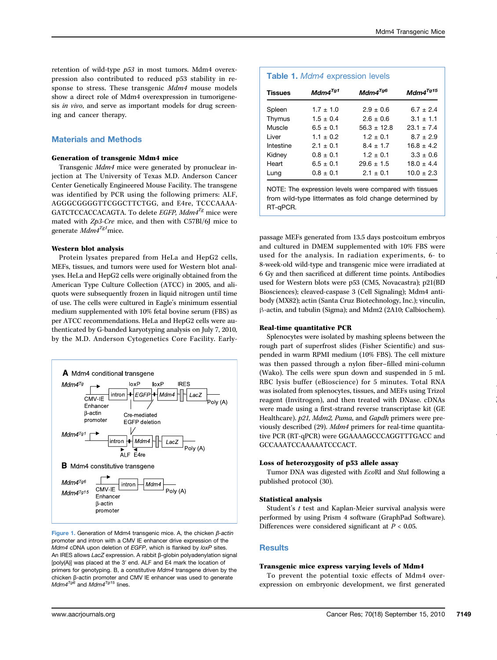retention of wild-type p53 in most tumors. Mdm4 overexpression also contributed to reduced p53 stability in response to stress. These transgenic Mdm4 mouse models show a direct role of Mdm4 overexpression in tumorigenesis in vivo, and serve as important models for drug screening and cancer therapy.

## Materials and Methods

## Generation of transgenic Mdm4 mice

Transgenic Mdm4 mice were generated by pronuclear injection at The University of Texas M.D. Anderson Cancer Center Genetically Engineered Mouse Facility. The transgene was identified by PCR using the following primers: ALF, AGGGCGGGGTTCGGCTTCTGG, and E4re, TCCCAAAA-GATCTCCACCACAGTA. To delete *EGFP*,  $Mdm4^{Tg}$  mice were mated with Zp3-Cre mice, and then with C57Bl/6J mice to generate  $\mathit{Mdm4}^{Tg1}\rm{mice}.$ 

## Western blot analysis

Protein lysates prepared from HeLa and HepG2 cells, MEFs, tissues, and tumors were used for Western blot analyses. HeLa and HepG2 cells were originally obtained from the American Type Culture Collection (ATCC) in 2005, and aliquots were subsequently frozen in liquid nitrogen until time of use. The cells were cultured in Eagle's minimum essential medium supplemented with 10% fetal bovine serum (FBS) as per ATCC recommendations. HeLa and HepG2 cells were authenticated by G-banded karyotyping analysis on July 7, 2010, by the M.D. Anderson Cytogenetics Core Facility. Early-



Figure 1. Generation of Mdm4 transgenic mice. A, the chicken β-actin promoter and intron with a CMV IE enhancer drive expression of the Mdm4 cDNA upon deletion of EGFP, which is flanked by loxP sites. An IRES allows LacZ expression. A rabbit β-globin polyadenylation signal [poly(A)] was placed at the 3′ end. ALF and E4 mark the location of primers for genotyping. B, a constitutive Mdm4 transgene driven by the chicken β-actin promoter and CMV IE enhancer was used to generate  $Mdm4^{Tg6}$  and  $Mdm4^{Tg15}$  lines.

| <b>Tissues</b> | $Mdm4^{Tg1}$  | $Mdm4^{Tg6}$  | $Mdm4^{Tg15}$  |
|----------------|---------------|---------------|----------------|
| Spleen         | $1.7 \pm 1.0$ | $2.9 \pm 0.6$ | $6.7 + 2.4$    |
| Thymus         | $1.5 \pm 0.4$ | $2.6 + 0.6$   | $3.1 \pm 1.1$  |
| Muscle         | $6.5 + 0.1$   | $56.3 + 12.8$ | $23.1 \pm 7.4$ |
| I iver         | $1.1 \pm 0.2$ | $1.2 + 0.1$   | $8.7 \pm 2.9$  |
| Intestine      | $2.1 + 0.1$   | $8.4 + 1.7$   | $16.8 + 4.2$   |
| Kidney         | $0.8 + 0.1$   | $1.2 \pm 0.1$ | $3.3 + 0.6$    |
| Heart          | $6.5 + 0.1$   | $29.6 + 1.5$  | $18.0 + 4.4$   |
| Lung           | $0.8 + 0.1$   | $2.1 + 0.1$   | $10.0 + 2.3$   |

NOTE: The expression levels were compared with tissues from wild-type littermates as fold change determined by RT-qPCR.

passage MEFs generated from 13.5 days postcoitum embryos and cultured in DMEM supplemented with 10% FBS were used for the analysis. In radiation experiments, 6- to 8-week-old wild-type and transgenic mice were irradiated at 6 Gy and then sacrificed at different time points. Antibodies used for Western blots were p53 (CM5, Novacastra); p21(BD Biosciences); cleaved-caspase 3 (Cell Signaling); Mdm4 antibody (MX82); actin (Santa Cruz Biotechnology, Inc.); vinculin, β-actin, and tubulin (Sigma); and Mdm2 (2A10; Calbiochem).

#### Real-time quantitative PCR

Splenocytes were isolated by mashing spleens between the rough part of superfrost slides (Fisher Scientific) and suspended in warm RPMI medium (10% FBS). The cell mixture was then passed through a nylon fiber–filled mini-column (Wako). The cells were spun down and suspended in 5 mL RBC lysis buffer (eBioscience) for 5 minutes. Total RNA was isolated from splenocytes, tissues, and MEFs using Trizol reagent (Invitrogen), and then treated with DNase. cDNAs were made using a first-strand reverse transcriptase kit (GE Healthcare). p21, Mdm2, Puma, and Gapdh primers were previously described (29). Mdm4 primers for real-time quantitative PCR (RT-qPCR) were GGAAAAGCCCAGGTTTGACC and GCCAAATCCAAAAATCCCACT.

#### Loss of heterozygosity of p53 allele assay

Tumor DNA was digested with EcoRI and StuI following a published protocol (30).

#### Statistical analysis

Student's t test and Kaplan-Meier survival analysis were performed by using Prism 4 software (GraphPad Software). Differences were considered significant at  $P < 0.05$ .

## **Results**

#### Transgenic mice express varying levels of Mdm4

To prevent the potential toxic effects of Mdm4 overexpression on embryonic development, we first generated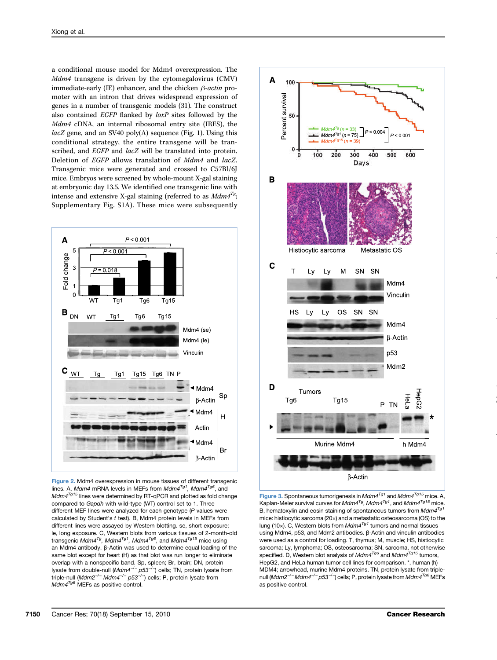a conditional mouse model for Mdm4 overexpression. The Mdm4 transgene is driven by the cytomegalovirus (CMV) immediate-early (IE) enhancer, and the chicken  $\beta$ -actin promoter with an intron that drives widespread expression of genes in a number of transgenic models (31). The construct also contained EGFP flanked by loxP sites followed by the Mdm4 cDNA, an internal ribosomal entry site (IRES), the lacZ gene, and an SV40 poly(A) sequence (Fig. 1). Using this conditional strategy, the entire transgene will be transcribed, and EGFP and lacZ will be translated into protein. Deletion of EGFP allows translation of Mdm4 and lacZ. Transgenic mice were generated and crossed to C57Bl/6J mice. Embryos were screened by whole-mount X-gal staining at embryonic day 13.5. We identified one transgenic line with intense and extensive X-gal staining (referred to as  $Mdm4^{Tg}$ ; Supplementary Fig. S1A). These mice were subsequently



Figure 2. Mdm4 overexpression in mouse tissues of different transgenic lines. A, Mdm4 mRNA levels in MEFs from Mdm4 $^{Tg1}$ , Mdm4 $^{Tg6}$ , and  $Mdm4^{Tg15}$  lines were determined by RT-qPCR and plotted as fold change compared to Gapdh with wild-type (WT) control set to 1. Three different MEF lines were analyzed for each genotype (P values were calculated by Student's  $t$  test). B, Mdm4 protein levels in MEFs from different lines were assayed by Western blotting. se, short exposure; le, long exposure. C, Western blots from various tissues of 2-month-old transgenic Mdm4<sup>Tg</sup>, Mdm4<sup>Tg1</sup>, Mdm<sup>4Tg6</sup>, and Mdm4<sup>Tg15</sup> mice using an Mdm4 antibody. β-Actin was used to determine equal loading of the same blot except for heart (H) as that blot was run longer to eliminate overlap with a nonspecific band. Sp, spleen; Br, brain; DN, protein lysate from double-null (Mdm4<sup>-/-</sup> p53<sup>-/-</sup>) cells; TN, protein lysate from triple-null (Mdm2<sup>-/-</sup> Mdm4<sup>-/-</sup> p53<sup>-/-</sup>) cells; P, protein lysate from  $Mdm4^{Tg6}$  MEFs as positive control.



Figure 3. Spontaneous tumorigenesis in  $Md$ <sup>Tg1</sup> and  $Md$ <sup>Tg15</sup> mice. A, Kaplan-Meier survival curves for Mdm4 $^{Tg}$ , Mdm4 $^{Tg1}$ , and Mdm4 $^{Tg15}$  mice. B, hematoxylin and eosin staining of spontaneous tumors from  $Mdm4^{Tg1}$ mice: histiocytic sarcoma (20×) and a metastatic osteosarcoma (OS) to the lung (10x). C, Western blots from  $Mdm4^{Tg1}$  tumors and normal tissues using Mdm4, p53, and Mdm2 antibodies. β-Actin and vinculin antibodies were used as a control for loading. T, thymus; M, muscle; HS, histiocytic sarcoma; Ly, lymphoma; OS, osteosarcoma; SN, sarcoma, not otherwise specified. D, Western blot analysis of  $Mdm4^{Tg6}$  and  $Mdm4^{Tg15}$  tumors, HepG2, and HeLa human tumor cell lines for comparison. \*, human (h) MDM4; arrowhead, murine Mdm4 proteins. TN, protein lysate from triplenull (*Mdm2<sup>–/ –</sup> Mdm4<sup>–/ –</sup> p53<sup>–/ –</sup>*) cells; P, protein lysate from *Mdm4<sup>Tg6</sup>* MEFs as positive control.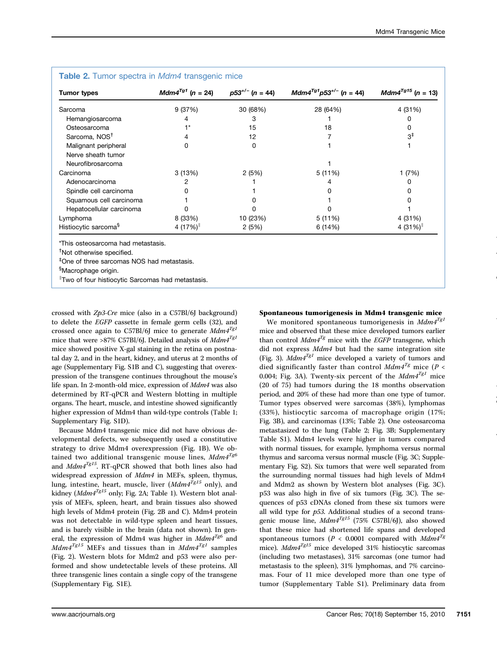| <b>Tumor types</b>               | $Mdm4^{Tg1}$ (n = 24) | $p53^{+/}$ (n = 44) | $Mdm4^{Tg1}p53^{+/}$ (n = 44) | $Mdm4^{Tg15}$ (n = 13) |
|----------------------------------|-----------------------|---------------------|-------------------------------|------------------------|
| Sarcoma                          | 9 (37%)               | 30 (68%)            | 28 (64%)                      | 4 (31%)                |
| Hemangiosarcoma                  |                       |                     |                               |                        |
| Osteosarcoma                     |                       | 15                  | 18                            |                        |
| Sarcoma, NOS <sup>T</sup>        | 4                     | 12                  |                               | $3^{\ddagger}$         |
| Malignant peripheral             | O                     | 0                   |                               |                        |
| Nerve sheath tumor               |                       |                     |                               |                        |
| Neurofibrosarcoma                |                       |                     |                               |                        |
| Carcinoma                        | 3(13%)                | 2(5%)               | 5(11%)                        | 1(7%)                  |
| Adenocarcinoma                   |                       |                     |                               |                        |
| Spindle cell carcinoma           |                       |                     |                               | O                      |
| Squamous cell carcinoma          |                       |                     |                               |                        |
| Hepatocellular carcinoma         |                       |                     |                               |                        |
| Lymphoma                         | 8 (33%)               | 10 (23%)            | 5(11%)                        | 4 (31%)                |
| Histiocytic sarcoma <sup>§</sup> | 4 $(17%)$             | 2(5%)               | 6 (14%)                       | 4 $(31\%)$             |

# $\mathsf{Table 9}$ . Tumor spectra in  $\mathsf{Mod}$  transgenic

\*This osteosarcoma had metastasis.

† Not otherwise specified.

‡ One of three sarcomas NOS had metastasis.

§ Macrophage origin.

∥ Two of four histiocytic Sarcomas had metastasis.

crossed with Zp3-Cre mice (also in a C57Bl/6J background) to delete the EGFP cassette in female germ cells (32), and crossed once again to C57Bl/6J mice to generate  $Mdm4^{Tg1}$ mice that were >87% C57Bl/6J. Detailed analysis of  $Mdm4^{Tg1}$ mice showed positive X-gal staining in the retina on postnatal day 2, and in the heart, kidney, and uterus at 2 months of age (Supplementary Fig. S1B and C), suggesting that overexpression of the transgene continues throughout the mouse's life span. In 2-month-old mice, expression of Mdm4 was also determined by RT-qPCR and Western blotting in multiple organs. The heart, muscle, and intestine showed significantly higher expression of Mdm4 than wild-type controls (Table 1; Supplementary Fig. S1D).

Because Mdm4 transgenic mice did not have obvious developmental defects, we subsequently used a constitutive strategy to drive Mdm4 overexpression (Fig. 1B). We obtained two additional transgenic mouse lines,  $Mdm^{Tgb}$ and  $Mdm4^{Tg15}$ . RT-qPCR showed that both lines also had widespread expression of Mdm4 in MEFs, spleen, thymus, lung, intestine, heart, muscle, liver ( $Mdm4^{Tg15}$  only), and kidney ( $Mdm4^{Tg15}$  only; Fig. 2A; Table 1). Western blot analysis of MEFs, spleen, heart, and brain tissues also showed high levels of Mdm4 protein (Fig. 2B and C). Mdm4 protein was not detectable in wild-type spleen and heart tissues, and is barely visible in the brain (data not shown). In general, the expression of Mdm4 was higher in  $Mdm4^{Tg6}$  and  $Mdm4^{Tg15}$  MEFs and tissues than in  $Mdm4^{Tg1}$  samples (Fig. 2). Western blots for Mdm2 and p53 were also performed and show undetectable levels of these proteins. All three transgenic lines contain a single copy of the transgene (Supplementary Fig. S1E).

# Spontaneous tumorigenesis in Mdm4 transgenic mice

We monitored spontaneous tumorigenesis in  $Mdm4^{Tg1}$ mice and observed that these mice developed tumors earlier than control  $Mdm4^{Tg}$  mice with the EGFP transgene, which did not express Mdm4 but had the same integration site (Fig. 3).  $Mdm4^{Tg1}$  mice developed a variety of tumors and died significantly faster than control  $Mdm^{Tg}$  mice (P < 0.004; Fig. 3A). Twenty-six percent of the  $Mdm4^{Tg1}$  mice (20 of 75) had tumors during the 18 months observation period, and 20% of these had more than one type of tumor. Tumor types observed were sarcomas (38%), lymphomas (33%), histiocytic sarcoma of macrophage origin (17%; Fig. 3B), and carcinomas (13%; Table 2). One osteosarcoma metastasized to the lung (Table 2; Fig. 3B; Supplementary Table S1). Mdm4 levels were higher in tumors compared with normal tissues, for example, lymphoma versus normal thymus and sarcoma versus normal muscle (Fig. 3C; Supplementary Fig. S2). Six tumors that were well separated from the surrounding normal tissues had high levels of Mdm4 and Mdm2 as shown by Western blot analyses (Fig. 3C). p53 was also high in five of six tumors (Fig. 3C). The sequences of p53 cDNAs cloned from these six tumors were all wild type for  $p53$ . Additional studies of a second transgenic mouse line,  $Mdm4^{Tg15}$  (75% C57Bl/6J), also showed that these mice had shortened life spans and developed spontaneous tumors ( $P < 0.0001$  compared with  $Mdm4^{Tg}$ mice).  $Mdm4^{Tg15}$  mice developed 31% histiocytic sarcomas (including two metastases), 31% sarcomas (one tumor had metastasis to the spleen), 31% lymphomas, and 7% carcinomas. Four of 11 mice developed more than one type of tumor (Supplementary Table S1). Preliminary data from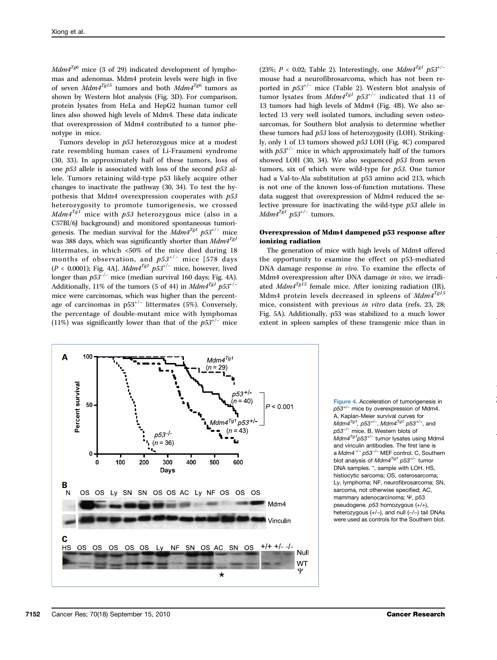$Mdm4^{Tg6}$  mice (3 of 29) indicated development of lymphomas and adenomas. Mdm4 protein levels were high in five of seven  $Mdm4^{Tg15}$  tumors and both  $Mdm4^{Tg6}$  tumors as shown by Western blot analysis (Fig. 3D). For comparison, protein lysates from HeLa and HepG2 human tumor cell lines also showed high levels of Mdm4. These data indicate that overexpression of Mdm4 contributed to a tumor phenotype in mice.

Tumors develop in p53 heterozygous mice at a modest rate resembling human cases of Li-Fraumeni syndrome (30, 33). In approximately half of these tumors, loss of one  $p53$  allele is associated with loss of the second  $p53$  allele. Tumors retaining wild-type p53 likely acquire other changes to inactivate the pathway (30, 34). To test the hypothesis that Mdm4 overexpression cooperates with  $p53$ heterozygosity to promote tumorigenesis, we crossed  $Mdm4^{Tg1}$  mice with  $p53$  heterozygous mice (also in a C57Bl/6J background) and monitored spontaneous tumorigenesis. The median survival for the  $Mdm4^{Tg1}$  p53<sup>+/−</sup> mice was 388 days, which was significantly shorter than  $Mdm4^{Tg1}$ littermates, in which <50% of the mice died during 18 months of observation, and  $p53^{+/}$  mice [578 days (P < 0.0001); Fig. 4A].  $Mdm4^{Tg1}p53^{+/-}$  mice, however, lived longer than  $p53^{-/-}$  mice (median survival 160 days; Fig. 4A). Additionally, 11% of the tumors (5 of 44) in  $Mdm4^{Tg1}$  p53<sup>+/−</sup> mice were carcinomas, which was higher than the percentage of carcinomas in p53+/<sup>−</sup> littermates (5%). Conversely, the percentage of double-mutant mice with lymphomas (11%) was significantly lower than that of the  $p53^{+/}$  mice

(23%;  $P < 0.02$ ; Table 2). Interestingly, one  $Mdm4^{Tg1}$   $p53^{+/-}$ mouse had a neurofibrosarcoma, which has not been reported in  $p53^{+/}$  mice (Table 2). Western blot analysis of tumor lysates from  $Mdm4^{Tg1}p53^{+/}$  indicated that 11 of 13 tumors had high levels of Mdm4 (Fig. 4B). We also selected 13 very well isolated tumors, including seven osteosarcomas, for Southern blot analysis to determine whether these tumors had p53 loss of heterozygosity (LOH). Strikingly, only 1 of 13 tumors showed p53 LOH (Fig. 4C) compared with  $p53^{+/}$  mice in which approximately half of the tumors showed LOH (30, 34). We also sequenced  $p53$  from seven tumors, six of which were wild-type for  $p53$ . One tumor had a Val-to-Ala substitution at p53 amino acid 213, which is not one of the known loss-of-function mutations. These data suggest that overexpression of Mdm4 reduced the selective pressure for inactivating the wild-type p53 allele in  $Mdm4^{Tg1}$  p53<sup>+/−</sup> tumors.

## Overexpression of Mdm4 dampened p53 response after ionizing radiation

The generation of mice with high levels of Mdm4 offered the opportunity to examine the effect on p53-mediated DNA damage response in vivo. To examine the effects of Mdm4 overexpression after DNA damage in vivo, we irradiated  $Mdm4^{Tg\overline{15}}$  female mice. After ionizing radiation (IR), Mdm4 protein levels decreased in spleens of  $Mdm4^{Tg15}$ mice, consistent with previous in vitro data (refs. 23, 28; Fig. 5A). Additionally, p53 was stabilized to a much lower extent in spleen samples of these transgenic mice than in



Figure 4. Acceleration of tumorigenesis in p53<sup>+/−</sup> mice by overexpression of Mdm4. A, Kaplan-Meier survival curves for  $M$ dm $4^{Tg1}$ , p53<sup>+/−</sup>, Mdm $4^{Tg1}$  p53<sup>+/−</sup>, and p53<sup>-/-</sup> mice. B, Western blots of Mdm4 $^{Tg1}$ p53<sup>+/-</sup> tumor lysates using Mdm4 and vinculin antibodies. The first lane is a Mdm4−/<sup>−</sup> p53−/<sup>−</sup> MEF control. C, Southern blot analysis of Mdm4 $^{Tg1}$  p53<sup>+/-</sup> tumor DNA samples. \*, sample with LOH. HS, histiocytic sarcoma; OS, osterosarcoma; Ly, lymphoma; NF, neurofibrosarcoma; SN, sarcoma, not otherwise specified; AC, mammary adenocarcinoma; Ψ, p53 pseudogene. p53 homozygous (+/+), heterozygous (+/−), and null (−/−) tail DNAs were used as controls for the Southern blot.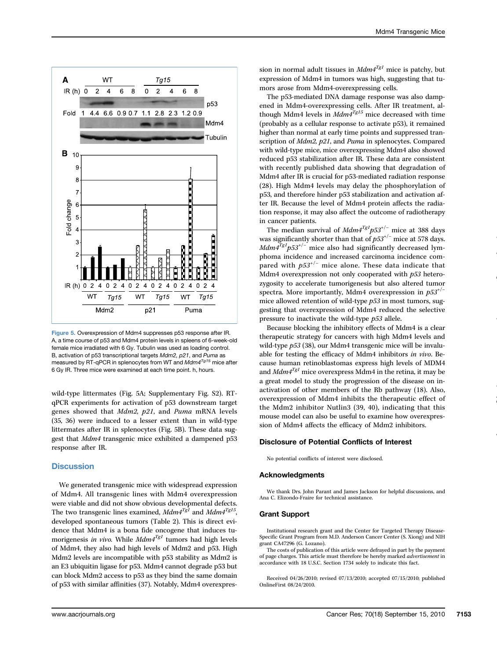

Figure 5. Overexpression of Mdm4 suppresses p53 response after IR. A, a time course of p53 and Mdm4 protein levels in spleens of 6-week-old female mice irradiated with 6 Gy. Tubulin was used as loading control. B, activation of p53 transcriptional targets Mdm2, p21, and Puma as measured by RT-qPCR in splenocytes from WT and  $Mdm4^{Tg15}$  mice after 6 Gy IR. Three mice were examined at each time point. h, hours.

wild-type littermates (Fig. 5A; Supplementary Fig. S2). RTqPCR experiments for activation of p53 downstream target genes showed that Mdm2, p21, and Puma mRNA levels (35, 36) were induced to a lesser extent than in wild-type littermates after IR in splenocytes (Fig. 5B). These data suggest that Mdm4 transgenic mice exhibited a dampened p53 response after IR.

## **Discussion**

We generated transgenic mice with widespread expression of Mdm4. All transgenic lines with Mdm4 overexpression were viable and did not show obvious developmental defects. The two transgenic lines examined,  $Mdm4^{Tgl}$  and  $Mdm4^{Tgl5}$ , developed spontaneous tumors (Table 2). This is direct evidence that Mdm4 is a bona fide oncogene that induces tumorigenesis in vivo. While  $Mdm4^{Tg1}$  tumors had high levels of Mdm4, they also had high levels of Mdm2 and p53. High Mdm2 levels are incompatible with p53 stability as Mdm2 is an E3 ubiquitin ligase for p53. Mdm4 cannot degrade p53 but can block Mdm2 access to p53 as they bind the same domain of p53 with similar affinities (37). Notably, Mdm4 overexpression in normal adult tissues in  $Mdm4^{Tg1}$  mice is patchy, but expression of Mdm4 in tumors was high, suggesting that tumors arose from Mdm4-overexpressing cells.

The p53-mediated DNA damage response was also dampened in Mdm4-overexpressing cells. After IR treatment, although Mdm4 levels in  $Mdm4^{Tg15}$  mice decreased with time (probably as a cellular response to activate p53), it remained higher than normal at early time points and suppressed transcription of Mdm2, p21, and Puma in splenocytes. Compared with wild-type mice, mice overexpressing Mdm4 also showed reduced p53 stabilization after IR. These data are consistent with recently published data showing that degradation of Mdm4 after IR is crucial for p53-mediated radiation response (28). High Mdm4 levels may delay the phosphorylation of p53, and therefore hinder p53 stabilization and activation after IR. Because the level of Mdm4 protein affects the radiation response, it may also affect the outcome of radiotherapy in cancer patients.

The median survival of  $Mdm4^{Tg1}p53^{+/}$  mice at 388 days was significantly shorter than that of  $p53^{+/}$  mice at 578 days.  $Mdm\bar{4}^{Tg1}p53^{+/-}$  mice also had significantly decreased lymphoma incidence and increased carcinoma incidence compared with  $p53^{+/}$  mice alone. These data indicate that Mdm4 overexpression not only cooperated with  $p53$  heterozygosity to accelerate tumorigenesis but also altered tumor spectra. More importantly, Mdm4 overexpression in  $p53^{+/−}$ mice allowed retention of wild-type  $p53$  in most tumors, suggesting that overexpression of Mdm4 reduced the selective pressure to inactivate the wild-type p53 allele.

Because blocking the inhibitory effects of Mdm4 is a clear therapeutic strategy for cancers with high Mdm4 levels and wild-type  $p53$  (38), our Mdm4 transgenic mice will be invaluable for testing the efficacy of Mdm4 inhibitors in vivo. Because human retinoblastomas express high levels of MDM4 and  $Mdma^{Tgl}$  mice overexpress Mdm4 in the retina, it may be a great model to study the progression of the disease on inactivation of other members of the Rb pathway (18). Also, overexpression of Mdm4 inhibits the therapeutic effect of the Mdm2 inhibitor Nutlin3 (39, 40), indicating that this mouse model can also be useful to examine how overexpression of Mdm4 affects the efficacy of Mdm2 inhibitors.

#### Disclosure of Potential Conflicts of Interest

No potential conflicts of interest were disclosed.

#### Acknowledgments

We thank Drs. John Parant and James Jackson for helpful discussions, and Ana C. Elizondo-Fraire for technical assistance.

#### Grant Support

Institutional research grant and the Center for Targeted Therapy Disease-Specific Grant Program from M.D. Anderson Cancer Center (S. Xiong) and NIH grant CA47296 (G. Lozano).

The costs of publication of this article were defrayed in part by the payment of page charges. This article must therefore be hereby marked *advertisement* in accordance with 18 U.S.C. Section 1734 solely to indicate this fact.

Received 04/26/2010; revised 07/13/2010; accepted 07/15/2010; published OnlineFirst 08/24/2010.